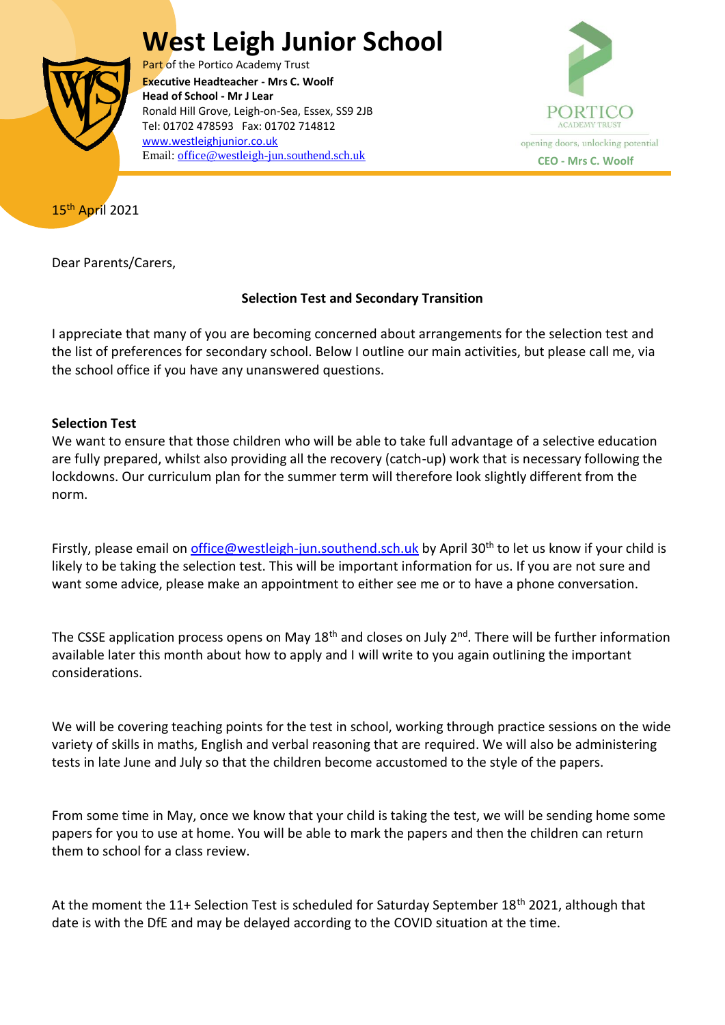## **West Leigh Junior School**



Part of the Portico Academy Trust  Ronald Hill Grove, Leigh-on-Sea, Essex, SS9 2JB **Executive Headteacher - Mrs C. Woolf Head of School - Mr J Lear** Tel: 01702 478593 Fax: 01702 714812 [www.westleighjunior.co.uk](http://www.westleighjunior.co.uk/) Email: [office@westleigh-jun.southend.sch.uk](mailto:office@westleigh-jun.southend.sch.uk) **CEO** - Mrs C. Woolf



15th April 2021

Dear Parents/Carers,

## **Selection Test and Secondary Transition**

I appreciate that many of you are becoming concerned about arrangements for the selection test and the list of preferences for secondary school. Below I outline our main activities, but please call me, via the school office if you have any unanswered questions.

## **Selection Test**

We want to ensure that those children who will be able to take full advantage of a selective education are fully prepared, whilst also providing all the recovery (catch-up) work that is necessary following the lockdowns. Our curriculum plan for the summer term will therefore look slightly different from the norm.

Firstly, please email o[n office@westleigh-jun.southend.sch.uk](mailto:office@westleigh-jun.southend.sch.uk) by April 30<sup>th</sup> to let us know if your child is likely to be taking the selection test. This will be important information for us. If you are not sure and want some advice, please make an appointment to either see me or to have a phone conversation.

The CSSE application process opens on May 18<sup>th</sup> and closes on July 2<sup>nd</sup>. There will be further information available later this month about how to apply and I will write to you again outlining the important considerations.

We will be covering teaching points for the test in school, working through practice sessions on the wide variety of skills in maths, English and verbal reasoning that are required. We will also be administering tests in late June and July so that the children become accustomed to the style of the papers.

From some time in May, once we know that your child is taking the test, we will be sending home some papers for you to use at home. You will be able to mark the papers and then the children can return them to school for a class review.

At the moment the 11+ Selection Test is scheduled for Saturday September 18<sup>th</sup> 2021, although that date is with the DfE and may be delayed according to the COVID situation at the time.